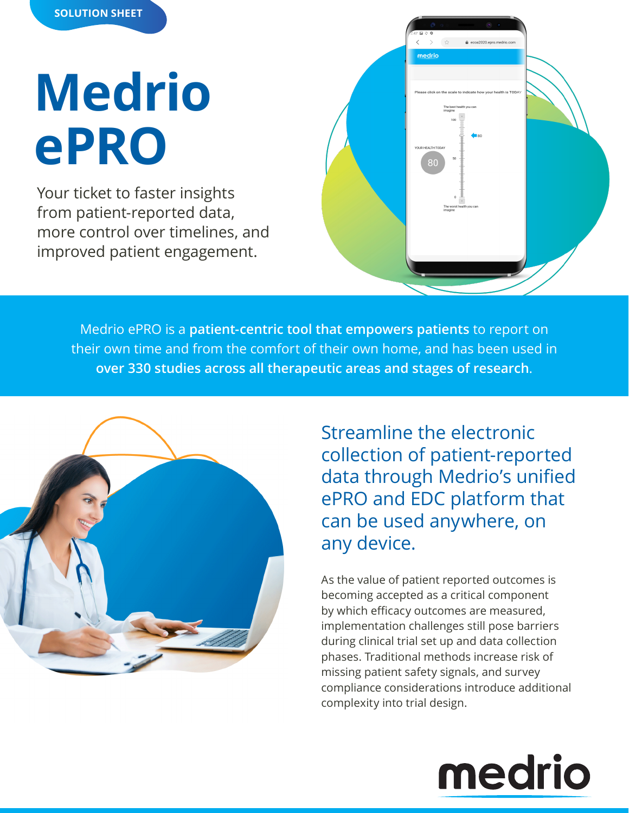#### **SOLUTION SHEET**

# **Medrio ePRO**

Your ticket to faster insights from patient-reported data, more control over timelines, and improved patient engagement.

| $\circ$ $\circ$<br>Ō<br>$2:47 \t{m}$ 0 $9$<br>$\frac{\epsilon}{2\sqrt{2}}$<br>$\lt$<br>$\left\langle \right\rangle$<br>ecoa2020.epro.medrio.com<br>medrio |
|-----------------------------------------------------------------------------------------------------------------------------------------------------------|
| Please click on the scale to indicate how your health is TODAY<br>The best health you can<br>imagine<br>100                                               |
| $\blacksquare$ 80<br>YOUR HEALTH TODAY<br>50<br>80                                                                                                        |
| $\,$ 0 $\,$<br>æ<br>$^\star$<br>The worst health you can<br>imagine                                                                                       |
|                                                                                                                                                           |

Medrio ePRO is a **patient-centric tool that empowers patients** to report on their own time and from the comfort of their own home, and has been used in **over 330 studies across all therapeutic areas and stages of research**.



Streamline the electronic collection of patient-reported data through Medrio's unified ePRO and EDC platform that can be used anywhere, on any device.

As the value of patient reported outcomes is becoming accepted as a critical component by which efficacy outcomes are measured, implementation challenges still pose barriers during clinical trial set up and data collection phases. Traditional methods increase risk of missing patient safety signals, and survey compliance considerations introduce additional complexity into trial design.